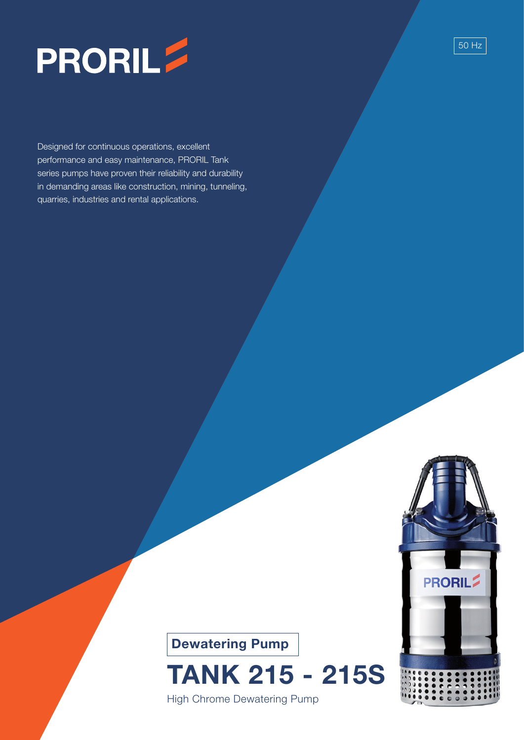

Designed for continuous operations, excellent performance and easy maintenance, PRORIL Tank series pumps have proven their reliability and durability in demanding areas like construction, mining, tunneling, quarries, industries and rental applications.



50 Hz



## TANK 215 - 215S

High Chrome Dewatering Pump